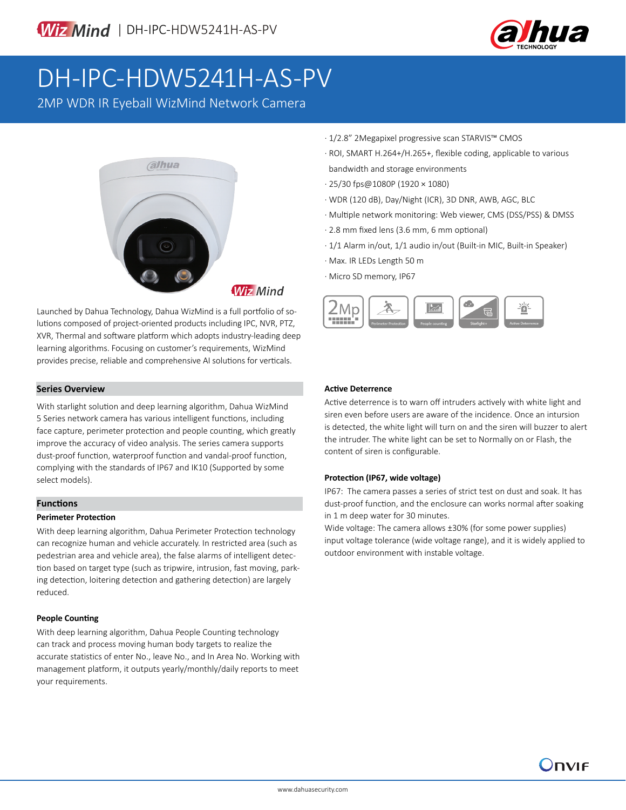

# DH-IPC-HDW5241H-AS-PV

2MP WDR IR Eyeball WizMind Network Camera



Launched by Dahua Technology, Dahua WizMind is a full portfolio of solutions composed of project-oriented products including IPC, NVR, PTZ, XVR, Thermal and software platform which adopts industry-leading deep learning algorithms. Focusing on customer's requirements, WizMind provides precise, reliable and comprehensive AI solutions for verticals.

## **Series Overview**

With starlight solution and deep learning algorithm, Dahua WizMind 5 Series network camera has various intelligent functions, including face capture, perimeter protection and people counting, which greatly improve the accuracy of video analysis. The series camera supports dust-proof function, waterproof function and vandal-proof function, complying with the standards of IP67 and IK10 (Supported by some select models).

### **Functions**

#### **Perimeter Protection**

With deep learning algorithm, Dahua Perimeter Protection technology can recognize human and vehicle accurately. In restricted area (such as pedestrian area and vehicle area), the false alarms of intelligent detection based on target type (such as tripwire, intrusion, fast moving, parking detection, loitering detection and gathering detection) are largely reduced.

### **People Counting**

With deep learning algorithm, Dahua People Counting technology can track and process moving human body targets to realize the accurate statistics of enter No., leave No., and In Area No. Working with management platform, it outputs yearly/monthly/daily reports to meet your requirements.

- · 1/2.8" 2Megapixel progressive scan STARVIS™ CMOS
- · ROI, SMART H.264+/H.265+, flexible coding, applicable to various bandwidth and storage environments
- · 25/30 fps@1080P (1920 × 1080)
- · WDR (120 dB), Day/Night (ICR), 3D DNR, AWB, AGC, BLC
- · Multiple network monitoring: Web viewer, CMS (DSS/PSS) & DMSS
- · 2.8 mm fixed lens (3.6 mm, 6 mm optional)
- · 1/1 Alarm in/out, 1/1 audio in/out (Built-in MIC, Built-in Speaker)
- · Max. IR LEDs Length 50 m
- · Micro SD memory, IP67



# **Active Deterrence**

Active deterrence is to warn off intruders actively with white light and siren even before users are aware of the incidence. Once an intursion is detected, the white light will turn on and the siren will buzzer to alert the intruder. The white light can be set to Normally on or Flash, the content of siren is configurable.

### **Protection (IP67, wide voltage)**

IP67: The camera passes a series of strict test on dust and soak. It has dust-proof function, and the enclosure can works normal after soaking in 1 m deep water for 30 minutes.

Wide voltage: The camera allows ±30% (for some power supplies) input voltage tolerance (wide voltage range), and it is widely applied to outdoor environment with instable voltage.

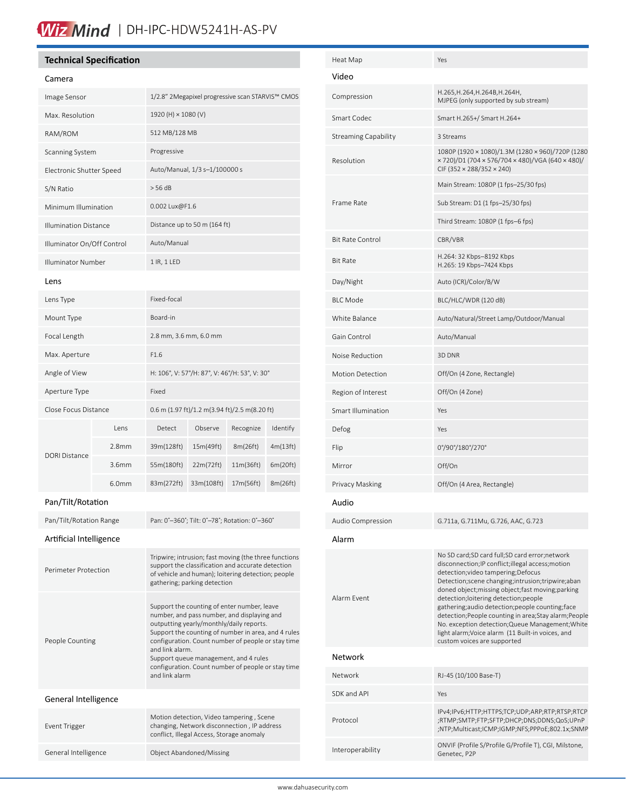# Wiz Mind | DH-IPC-HDW5241H-AS-PV

# **Technical Specification**

#### Camera

| Camera                       |                   |                                                                                                                                                                                                                                                                                                                                                                                         |                                               |           |          |  |
|------------------------------|-------------------|-----------------------------------------------------------------------------------------------------------------------------------------------------------------------------------------------------------------------------------------------------------------------------------------------------------------------------------------------------------------------------------------|-----------------------------------------------|-----------|----------|--|
| Image Sensor                 |                   | 1/2.8" 2Megapixel progressive scan STARVIS™ CMOS                                                                                                                                                                                                                                                                                                                                        |                                               |           |          |  |
| Max. Resolution              |                   | 1920 (H) × 1080 (V)                                                                                                                                                                                                                                                                                                                                                                     |                                               |           |          |  |
| RAM/ROM                      |                   |                                                                                                                                                                                                                                                                                                                                                                                         | 512 MB/128 MB                                 |           |          |  |
| Scanning System              |                   | Progressive                                                                                                                                                                                                                                                                                                                                                                             |                                               |           |          |  |
| Electronic Shutter Speed     |                   | Auto/Manual, 1/3 s-1/100000 s                                                                                                                                                                                                                                                                                                                                                           |                                               |           |          |  |
| S/N Ratio                    |                   | > 56 dB                                                                                                                                                                                                                                                                                                                                                                                 |                                               |           |          |  |
| Minimum Illumination         |                   | 0.002 Lux@F1.6                                                                                                                                                                                                                                                                                                                                                                          |                                               |           |          |  |
| <b>Illumination Distance</b> |                   | Distance up to 50 m (164 ft)                                                                                                                                                                                                                                                                                                                                                            |                                               |           |          |  |
| Illuminator On/Off Control   |                   | Auto/Manual                                                                                                                                                                                                                                                                                                                                                                             |                                               |           |          |  |
| Illuminator Number           |                   | 1 IR, 1 LED                                                                                                                                                                                                                                                                                                                                                                             |                                               |           |          |  |
| Lens                         |                   |                                                                                                                                                                                                                                                                                                                                                                                         |                                               |           |          |  |
| Lens Type                    |                   | Fixed-focal                                                                                                                                                                                                                                                                                                                                                                             |                                               |           |          |  |
| Mount Type                   |                   | Board-in                                                                                                                                                                                                                                                                                                                                                                                |                                               |           |          |  |
| Focal Length                 |                   | 2.8 mm, 3.6 mm, 6.0 mm                                                                                                                                                                                                                                                                                                                                                                  |                                               |           |          |  |
| Max. Aperture                |                   | F1.6                                                                                                                                                                                                                                                                                                                                                                                    |                                               |           |          |  |
| Angle of View                |                   | H: 106°, V: 57°/H: 87°, V: 46°/H: 53°, V: 30°                                                                                                                                                                                                                                                                                                                                           |                                               |           |          |  |
| Aperture Type                |                   | Fixed                                                                                                                                                                                                                                                                                                                                                                                   |                                               |           |          |  |
| Close Focus Distance         |                   |                                                                                                                                                                                                                                                                                                                                                                                         | 0.6 m (1.97 ft)/1.2 m(3.94 ft)/2.5 m(8.20 ft) |           |          |  |
|                              | Lens              | Detect                                                                                                                                                                                                                                                                                                                                                                                  | Observe                                       | Recognize | Identify |  |
| <b>DORI Distance</b>         | 2.8 <sub>mm</sub> | 39m(128ft)                                                                                                                                                                                                                                                                                                                                                                              | 15m(49ft)                                     | 8m(26ft)  | 4m(13ft) |  |
|                              | 3.6mm             | 55m(180ft)                                                                                                                                                                                                                                                                                                                                                                              | 22m(72ft)                                     | 11m(36ft) | 6m(20ft) |  |
|                              | 6.0 <sub>mm</sub> | 83m(272ft)                                                                                                                                                                                                                                                                                                                                                                              | 33m(108ft)                                    | 17m(56ft) | 8m(26ft) |  |
| Pan/Tilt/Rotation            |                   |                                                                                                                                                                                                                                                                                                                                                                                         |                                               |           |          |  |
| Pan/Tilt/Rotation Range      |                   |                                                                                                                                                                                                                                                                                                                                                                                         | Pan: 0°-360°; Tilt: 0°-78°; Rotation: 0°-360° |           |          |  |
| Artificial Intelligence      |                   |                                                                                                                                                                                                                                                                                                                                                                                         |                                               |           |          |  |
| Perimeter Protection         |                   | Tripwire; intrusion; fast moving (the three functions<br>support the classification and accurate detection<br>of vehicle and human); loitering detection; people<br>gathering; parking detection                                                                                                                                                                                        |                                               |           |          |  |
| People Counting              |                   | Support the counting of enter number, leave<br>number, and pass number, and displaying and<br>outputting yearly/monthly/daily reports.<br>Support the counting of number in area, and 4 rules<br>configuration. Count number of people or stay time<br>and link alarm.<br>Support queue management, and 4 rules<br>configuration. Count number of people or stay time<br>and link alarm |                                               |           |          |  |
| General Intelligence         |                   |                                                                                                                                                                                                                                                                                                                                                                                         |                                               |           |          |  |
| Event Trigger                |                   | Motion detection, Video tampering, Scene<br>changing, Network disconnection, IP address<br>conflict, Illegal Access, Storage anomaly                                                                                                                                                                                                                                                    |                                               |           |          |  |

General Intelligence **Object Abandoned/Missing** 

| Heat Map                    | Yes                                                                                                                                                                                                                                                                                                                                                                                                                                                                                                                                               |
|-----------------------------|---------------------------------------------------------------------------------------------------------------------------------------------------------------------------------------------------------------------------------------------------------------------------------------------------------------------------------------------------------------------------------------------------------------------------------------------------------------------------------------------------------------------------------------------------|
| Video                       |                                                                                                                                                                                                                                                                                                                                                                                                                                                                                                                                                   |
| Compression                 | H.265, H.264, H.264B, H.264H,<br>MJPEG (only supported by sub stream)                                                                                                                                                                                                                                                                                                                                                                                                                                                                             |
| Smart Codec                 | Smart H.265+/ Smart H.264+                                                                                                                                                                                                                                                                                                                                                                                                                                                                                                                        |
| <b>Streaming Capability</b> | 3 Streams                                                                                                                                                                                                                                                                                                                                                                                                                                                                                                                                         |
| Resolution                  | 1080P (1920 × 1080)/1.3M (1280 × 960)/720P (1280<br>× 720)/D1 (704 × 576/704 × 480)/VGA (640 × 480)/<br>CIF (352 × 288/352 × 240)                                                                                                                                                                                                                                                                                                                                                                                                                 |
|                             | Main Stream: 1080P (1 fps-25/30 fps)                                                                                                                                                                                                                                                                                                                                                                                                                                                                                                              |
| Frame Rate                  | Sub Stream: D1 (1 fps-25/30 fps)                                                                                                                                                                                                                                                                                                                                                                                                                                                                                                                  |
|                             | Third Stream: 1080P (1 fps-6 fps)                                                                                                                                                                                                                                                                                                                                                                                                                                                                                                                 |
| <b>Bit Rate Control</b>     | CBR/VBR                                                                                                                                                                                                                                                                                                                                                                                                                                                                                                                                           |
| <b>Bit Rate</b>             | H.264: 32 Kbps-8192 Kbps<br>H.265: 19 Kbps-7424 Kbps                                                                                                                                                                                                                                                                                                                                                                                                                                                                                              |
| Day/Night                   | Auto (ICR)/Color/B/W                                                                                                                                                                                                                                                                                                                                                                                                                                                                                                                              |
| <b>BLC Mode</b>             | BLC/HLC/WDR (120 dB)                                                                                                                                                                                                                                                                                                                                                                                                                                                                                                                              |
| White Balance               | Auto/Natural/Street Lamp/Outdoor/Manual                                                                                                                                                                                                                                                                                                                                                                                                                                                                                                           |
| Gain Control                | Auto/Manual                                                                                                                                                                                                                                                                                                                                                                                                                                                                                                                                       |
| Noise Reduction             | 3D DNR                                                                                                                                                                                                                                                                                                                                                                                                                                                                                                                                            |
| <b>Motion Detection</b>     | Off/On (4 Zone, Rectangle)                                                                                                                                                                                                                                                                                                                                                                                                                                                                                                                        |
| Region of Interest          | Off/On (4 Zone)                                                                                                                                                                                                                                                                                                                                                                                                                                                                                                                                   |
| <b>Smart Illumination</b>   | Yes                                                                                                                                                                                                                                                                                                                                                                                                                                                                                                                                               |
| Defog                       | Yes                                                                                                                                                                                                                                                                                                                                                                                                                                                                                                                                               |
| Flip                        | 0°/90°/180°/270°                                                                                                                                                                                                                                                                                                                                                                                                                                                                                                                                  |
| Mirror                      | Off/On                                                                                                                                                                                                                                                                                                                                                                                                                                                                                                                                            |
| Privacy Masking             | Off/On (4 Area, Rectangle)                                                                                                                                                                                                                                                                                                                                                                                                                                                                                                                        |
| Audio                       |                                                                                                                                                                                                                                                                                                                                                                                                                                                                                                                                                   |
| Audio Compression           | G.711a, G.711Mu, G.726, AAC, G.723                                                                                                                                                                                                                                                                                                                                                                                                                                                                                                                |
| Alarm                       |                                                                                                                                                                                                                                                                                                                                                                                                                                                                                                                                                   |
| Alarm Event                 | No SD card;SD card full;SD card error;network<br>disconnection; IP conflict; illegal access; motion<br>detection; video tampering; Defocus<br>Detection; scene changing; intrusion; tripwire; aban<br>doned object;missing object;fast moving;parking<br>detection;loitering detection;people<br>gathering;audio detection;people counting;face<br>detection; People counting in area; Stay alarm; People<br>No. exception detection; Queue Management; White<br>light alarm; Voice alarm (11 Built-in voices, and<br>custom voices are supported |
| Network                     |                                                                                                                                                                                                                                                                                                                                                                                                                                                                                                                                                   |
| Network                     | RJ-45 (10/100 Base-T)                                                                                                                                                                                                                                                                                                                                                                                                                                                                                                                             |
| SDK and API                 | Yes                                                                                                                                                                                                                                                                                                                                                                                                                                                                                                                                               |
| Protocol                    | IPv4;IPv6;HTTP;HTTPS;TCP;UDP;ARP;RTP;RTSP;RTCP<br>;RTMP;SMTP;FTP;SFTP;DHCP;DNS;DDNS;QoS;UPnP<br>;NTP;Multicast;ICMP;IGMP;NFS;PPPoE;802.1x;SNMP                                                                                                                                                                                                                                                                                                                                                                                                    |
| Interoperability            | ONVIF (Profile S/Profile G/Profile T), CGI, Milstone,<br>Genetec, P2P                                                                                                                                                                                                                                                                                                                                                                                                                                                                             |